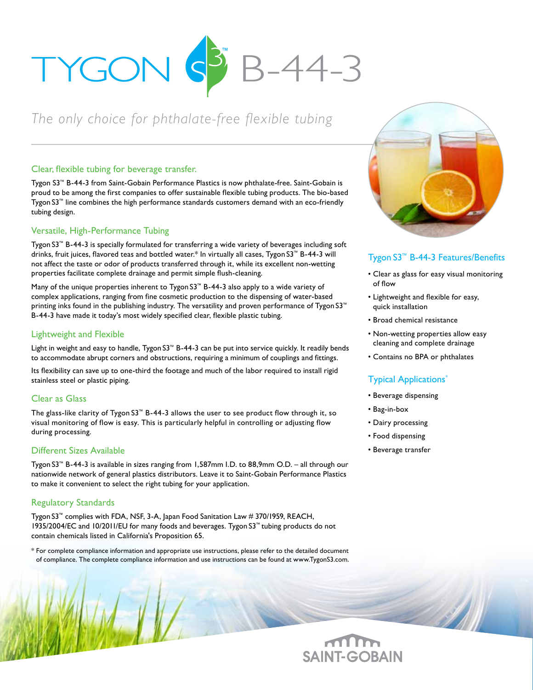

# *The only choice for phthalate-free flexible tubing*

#### Clear, flexible tubing for beverage transfer.

Tygon S3™ B-44-3 from Saint-Gobain Performance Plastics is now phthalate-free. Saint-Gobain is proud to be among the first companies to offer sustainable flexible tubing products. The bio-based Tygon S3™ line combines the high performance standards customers demand with an eco-friendly tubing design.

#### Versatile, High-Performance Tubing

Tygon S3™ B-44-3 is specially formulated for transferring a wide variety of beverages including soft drinks, fruit juices, flavored teas and bottled water.\* In virtually all cases, Tygon S3™ B-44-3 will not affect the taste or odor of products transferred through it, while its excellent non-wetting properties facilitate complete drainage and permit simple flush-cleaning.

Many of the unique properties inherent to Tygon S3™ B-44-3 also apply to a wide variety of complex applications, ranging from fine cosmetic production to the dispensing of water-based printing inks found in the publishing industry. The versatility and proven performance of Tygon S3™ B-44-3 have made it today's most widely specified clear, flexible plastic tubing.

#### Lightweight and Flexible

Light in weight and easy to handle, Tygon S3™ B-44-3 can be put into service quickly. It readily bends to accommodate abrupt corners and obstructions, requiring a minimum of couplings and fittings.

Its flexibility can save up to one-third the footage and much of the labor required to install rigid stainless steel or plastic piping.

#### Clear as Glass

The glass-like clarity of Tygon S3™ B-44-3 allows the user to see product flow through it, so visual monitoring of flow is easy. This is particularly helpful in controlling or adjusting flow during processing.

#### Different Sizes Available

Tygon S3™ B-44-3 is available in sizes ranging from 1,587mm I.D. to 88,9mm O.D. – all through our nationwide network of general plastics distributors. Leave it to Saint-Gobain Performance Plastics to make it convenient to select the right tubing for your application.

#### Regulatory Standards

Tygon S3™ complies with FDA, NSF, 3-A, Japan Food Sanitation Law # 370/1959, REACH, 1935/2004/EC and 10/2011/EU for many foods and beverages. Tygon S3™ tubing products do not contain chemicals listed in California's Proposition 65.

\* For complete compliance information and appropriate use instructions, please refer to the detailed document of compliance. The complete compliance information and use instructions can be found at www.TygonS3.com.



### Tygon S3™ B-44-3 Features/Benefits

- Clear as glass for easy visual monitoring of flow
- Lightweight and flexible for easy, quick installation
- Broad chemical resistance
- Non-wetting properties allow easy cleaning and complete drainage
- Contains no BPA or phthalates

# Typical Applications\*

- Beverage dispensing
- Bag-in-box
- Dairy processing
- Food dispensing
- Beverage transfer